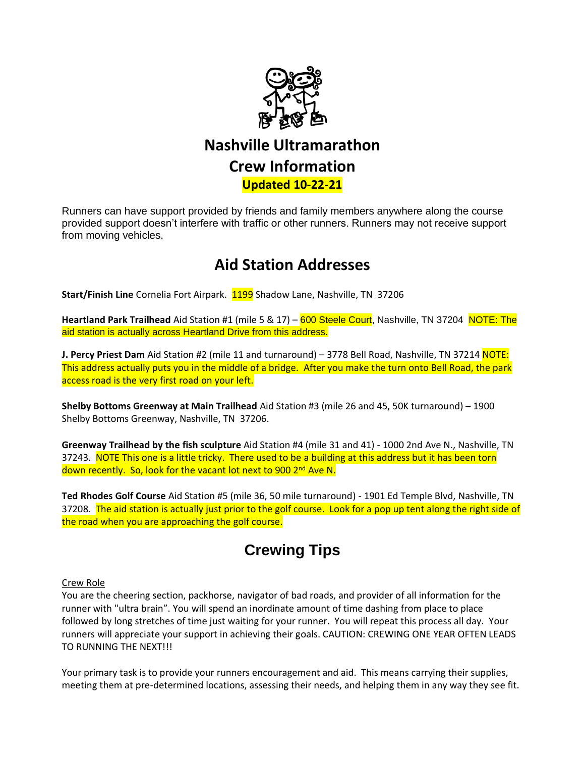

# **Nashville Ultramarathon Crew Information**

### **Updated 10-22-21**

Runners can have support provided by friends and family members anywhere along the course provided support doesn't interfere with traffic or other runners. Runners may not receive support from moving vehicles.

### **Aid Station Addresses**

Start/Finish Line Cornelia Fort Airpark. 1199 Shadow Lane, Nashville, TN 37206

**Heartland Park Trailhead** Aid Station #1 (mile 5 & 17) – 600 Steele Court, Nashville, TN 37204 NOTE: The aid station is actually across Heartland Drive from this address.

**J. Percy Priest Dam** Aid Station #2 (mile 11 and turnaround) – 3778 Bell Road, Nashville, TN 37214 NOTE: This address actually puts you in the middle of a bridge. After you make the turn onto Bell Road, the park access road is the very first road on your left.

**Shelby Bottoms Greenway at Main Trailhead** Aid Station #3 (mile 26 and 45, 50K turnaround) – 1900 Shelby Bottoms Greenway, Nashville, TN 37206.

**Greenway Trailhead by the fish sculpture** Aid Station #4 (mile 31 and 41) - 1000 2nd Ave N., Nashville, TN 37243. NOTE This one is a little tricky. There used to be a building at this address but it has been torn down recently. So, look for the vacant lot next to 900 2<sup>nd</sup> Ave N.

**Ted Rhodes Golf Course** Aid Station #5 (mile 36, 50 mile turnaround) - 1901 Ed Temple Blvd, Nashville, TN 37208. The aid station is actually just prior to the golf course. Look for a pop up tent along the right side of the road when you are approaching the golf course.

## **Crewing Tips**

#### Crew Role

You are the cheering section, packhorse, navigator of bad roads, and provider of all information for the runner with "ultra brain". You will spend an inordinate amount of time dashing from place to place followed by long stretches of time just waiting for your runner. You will repeat this process all day. Your runners will appreciate your support in achieving their goals. CAUTION: CREWING ONE YEAR OFTEN LEADS TO RUNNING THE NEXT!!!

Your primary task is to provide your runners encouragement and aid. This means carrying their supplies, meeting them at pre-determined locations, assessing their needs, and helping them in any way they see fit.